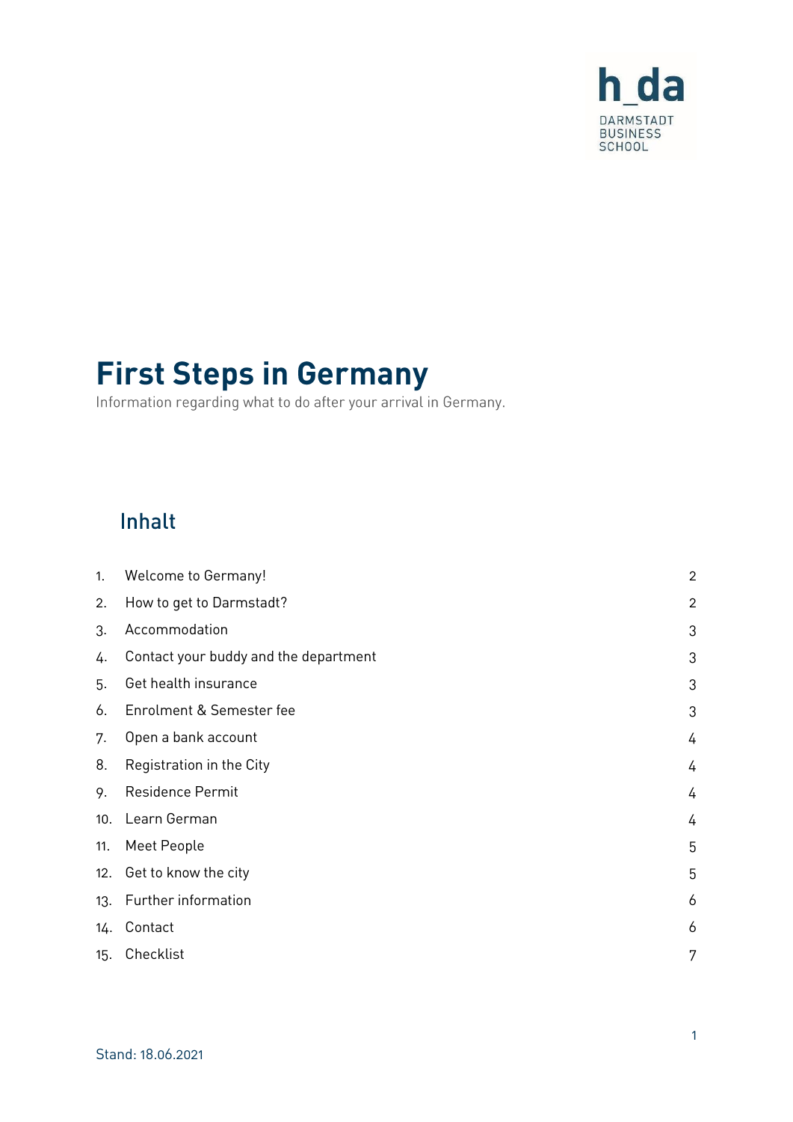

# **First Steps in Germany**

Information regarding what to do after your arrival in Germany.

### Inhalt

| 1.  | <b>Welcome to Germany!</b>            | $\overline{2}$ |
|-----|---------------------------------------|----------------|
| 2.  | How to get to Darmstadt?              | $\overline{c}$ |
| 3.  | Accommodation                         | 3              |
| 4.  | Contact your buddy and the department | 3              |
| 5.  | Get health insurance                  | 3              |
| 6.  | Enrolment & Semester fee              | 3              |
| 7.  | Open a bank account                   | 4              |
| 8.  | Registration in the City              | 4              |
| 9.  | Residence Permit                      | 4              |
| 10. | Learn German                          | 4              |
| 11. | Meet People                           | 5              |
| 12. | Get to know the city                  | 5              |
| 13. | Further information                   | 6              |
| 14. | Contact                               | 6              |
| 15. | Checklist                             | 7              |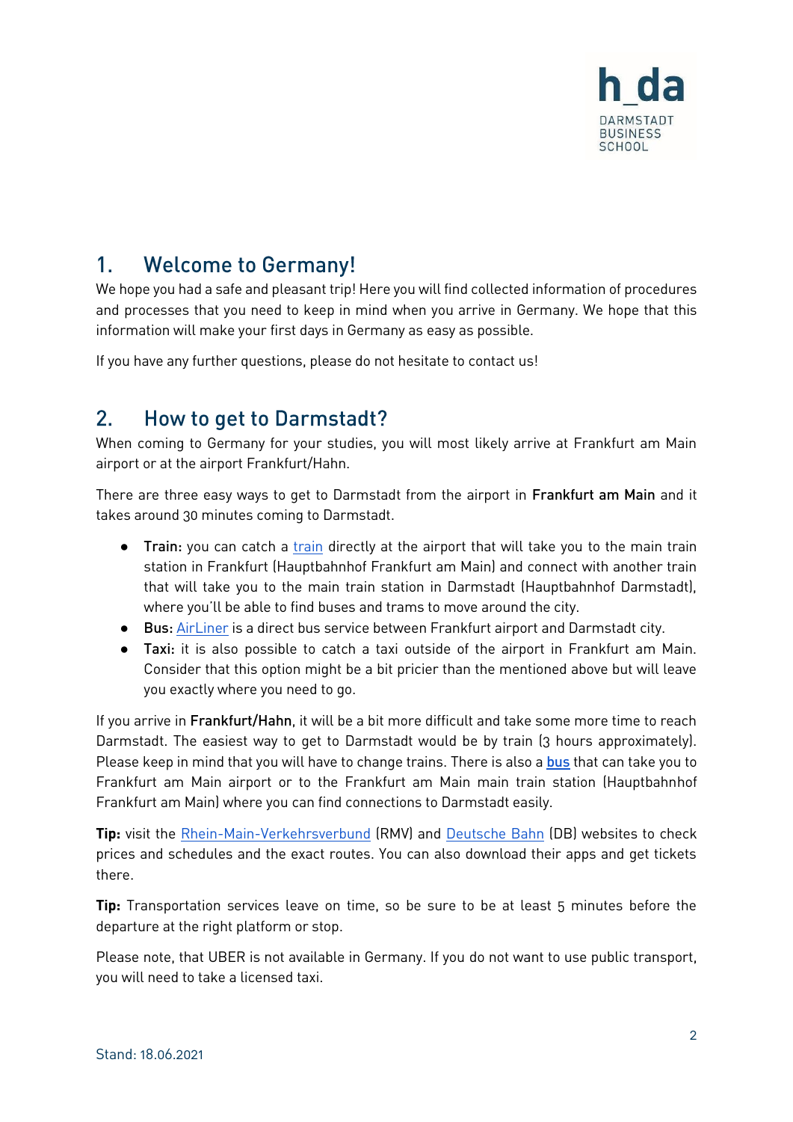

#### <span id="page-1-0"></span>**Welcome to Germany!**  $1_{-}$

We hope you had a safe and pleasant trip! Here you will find collected information of procedures and processes that you need to keep in mind when you arrive in Germany. We hope that this information will make your first days in Germany as easy as possible.

If you have any further questions, please do not hesitate to contact us!

#### <span id="page-1-1"></span>**How to get to Darmstadt?**  $2<sub>1</sub>$

When coming to Germany for your studies, you will most likely arrive at Frankfurt am Main airport or at the airport Frankfurt/Hahn.

There are three easy ways to get to Darmstadt from the airport in Frankfurt am Main and it takes around 30 minutes coming to Darmstadt.

- Train: you can catch a [train](https://www.rmv.de/c/en/homepage/) directly at the airport that will take you to the main train station in Frankfurt (Hauptbahnhof Frankfurt am Main) and connect with another train that will take you to the main train station in Darmstadt (Hauptbahnhof Darmstadt), where you'll be able to find buses and trams to move around the city.
- Bus: [AirLiner](https://www.rmv.de/c/en/fahrkarten/die-richtige-fahrkarte/tickets-overview/local-tickets/airliner-direct-bus-darmstadt-frankfurt-airport/) is a direct bus service between Frankfurt airport and Darmstadt city.
- Taxi: it is also possible to catch a taxi outside of the airport in Frankfurt am Main. Consider that this option might be a bit pricier than the mentioned above but will leave you exactly where you need to go.

If you arrive in Frankfurt/Hahn, it will be a bit more difficult and take some more time to reach Darmstadt. The easiest way to get to Darmstadt would be by train (3 hours approximately). Please keep in mind that you will have to change trains. There is also a [bus](https://www.bohr.de/en/scheduled-services/busline-hahn-frankfurt) that can take you to Frankfurt am Main airport or to the Frankfurt am Main main train station (Hauptbahnhof Frankfurt am Main) where you can find connections to Darmstadt easily.

**Tip:** visit the [Rhein-Main-Verkehrsverbund](https://www.rmv.de/c/en/homepage/) (RMV) and [Deutsche Bahn](https://www.bahn.com/en/view/index.shtml) (DB) websites to check prices and schedules and the exact routes. You can also download their apps and get tickets there.

**Tip:** Transportation services leave on time, so be sure to be at least 5 minutes before the departure at the right platform or stop.

Please note, that UBER is not available in Germany. If you do not want to use public transport, you will need to take a licensed taxi.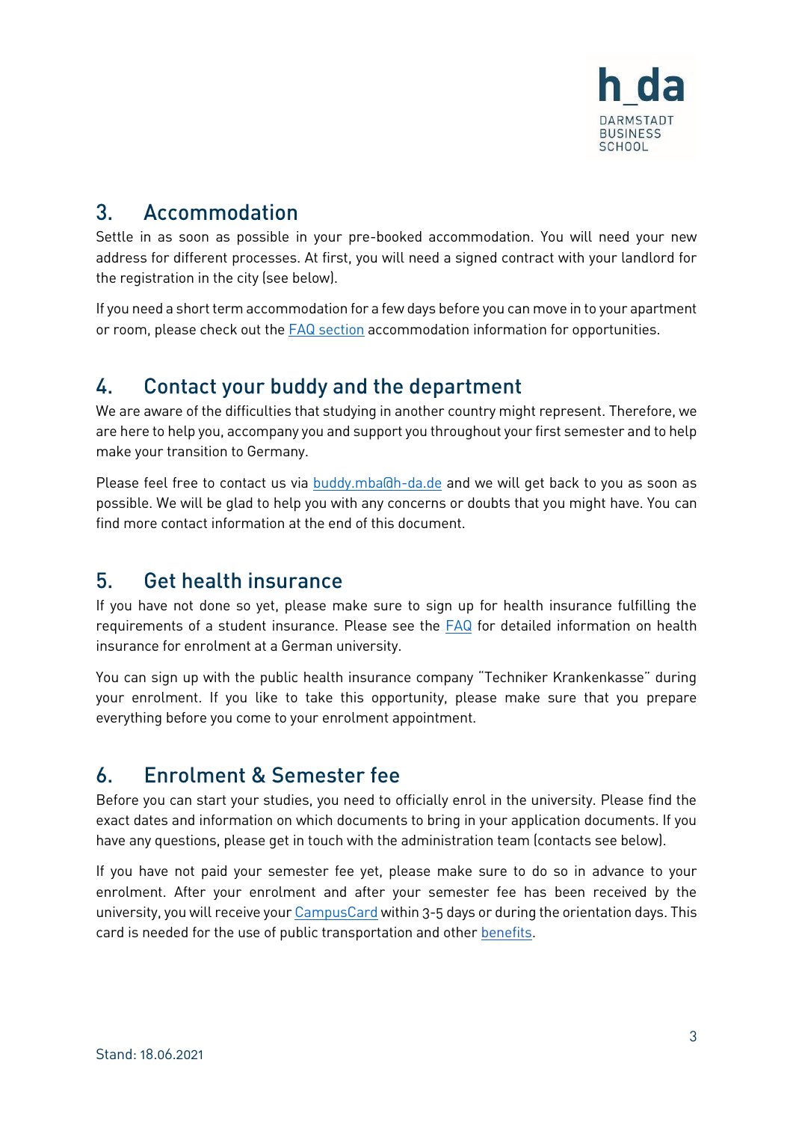

#### <span id="page-2-0"></span> $3<sub>1</sub>$ Accommodation

Settle in as soon as possible in your pre-booked accommodation. You will need your new address for different processes. At first, you will need a signed contract with your landlord for the registration in the city (see below).

If you need a short term accommodation for a few days before you can move in to your apartment or room, please check out th[e FAQ section](https://mba.h-da.de/index.php?id=615) accommodation information for opportunities.

#### <span id="page-2-1"></span>4. Contact your buddy and the department

We are aware of the difficulties that studying in another country might represent. Therefore, we are here to help you, accompany you and support you throughout your first semester and to help make your transition to Germany.

Please feel free to contact us via [buddy.mba@h-da.de](mailto:buddy.mba@h-da.de) and we will get back to you as soon as possible. We will be glad to help you with any concerns or doubts that you might have. You can find more contact information at the end of this document.

#### <span id="page-2-2"></span> $5<sub>1</sub>$ **Get health insurance**

If you have not done so yet, please make sure to sign up for health insurance fulfilling the requirements of a student insurance. Please see the [FAQ](https://mba.h-da.de/index.php?id=615) for detailed information on health insurance for enrolment at a German university.

You can sign up with the public health insurance company "Techniker Krankenkasse" during your enrolment. If you like to take this opportunity, please make sure that you prepare everything before you come to your enrolment appointment.

#### <span id="page-2-3"></span>**Enrolment & Semester fee**  $\mathbf{b}$

Before you can start your studies, you need to officially enrol in the university. Please find the exact dates and information on which documents to bring in your application documents. If you have any questions, please get in touch with the administration team (contacts see below).

If you have not paid your semester fee yet, please make sure to do so in advance to your enrolment. After your enrolment and after your semester fee has been received by the university, you will receive you[r CampusCard](https://h-da.com/student-services/campus-card/) within 3-5 days or during the orientation days. This card is needed for the use of public transportation and other [benefits.](https://h-da.com/student-services/campus-card/)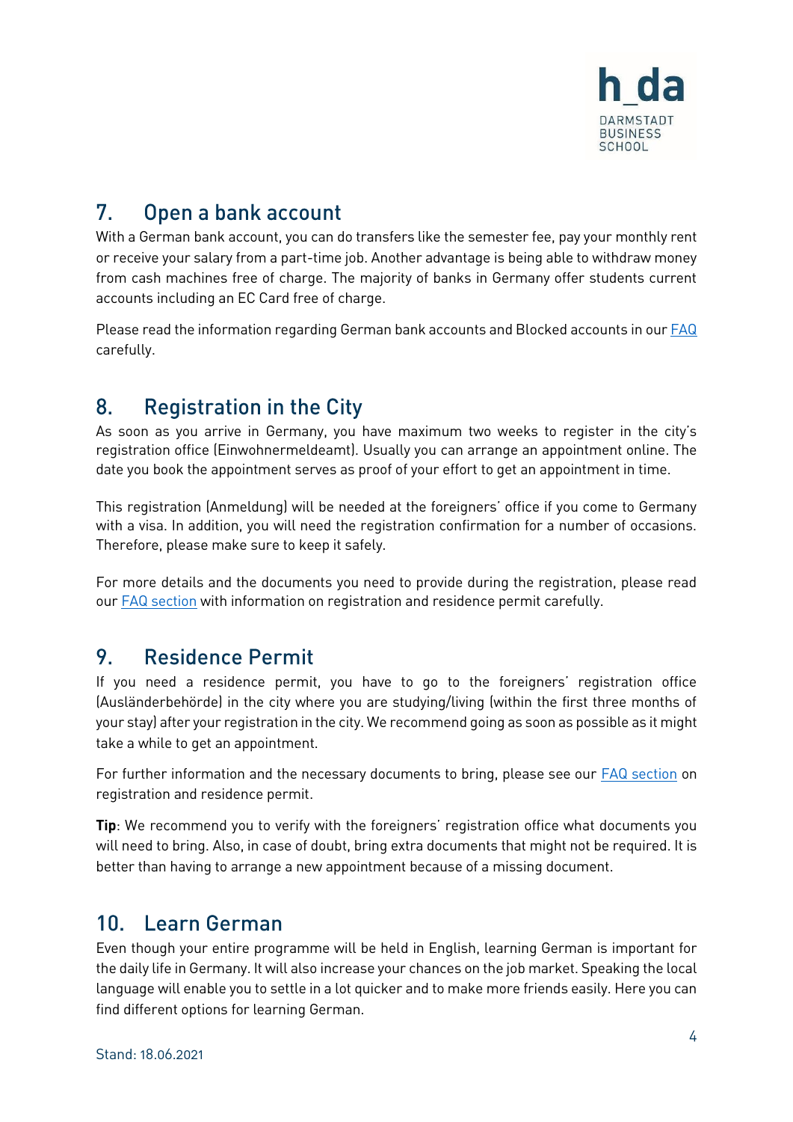

#### <span id="page-3-0"></span> $7<sub>1</sub>$ Open a bank account

With a German bank account, you can do transfers like the semester fee, pay your monthly rent or receive your salary from a part-time job. Another advantage is being able to withdraw money from cash machines free of charge. The majority of banks in Germany offer students current accounts including an EC Card free of charge.

Please read the information regarding German bank accounts and Blocked accounts in ou[r FAQ](https://mba.h-da.de/index.php?id=615) carefully.

#### <span id="page-3-1"></span> $8<sub>1</sub>$ **Registration in the City**

As soon as you arrive in Germany, you have maximum two weeks to register in the city's registration office (Einwohnermeldeamt). Usually you can arrange an appointment online. The date you book the appointment serves as proof of your effort to get an appointment in time.

This registration (Anmeldung) will be needed at the foreigners' office if you come to Germany with a visa. In addition, you will need the registration confirmation for a number of occasions. Therefore, please make sure to keep it safely.

For more details and the documents you need to provide during the registration, please read our [FAQ section](https://mba.h-da.de/index.php?id=615) with information on registration and residence permit carefully.

#### <span id="page-3-2"></span>9 **Residence Permit**

If you need a residence permit, you have to go to the foreigners' registration office (Ausländerbehörde) in the city where you are studying/living (within the first three months of your stay) after your registration in the city. We recommend going as soon as possible as it might take a while to get an appointment.

For further information and the necessary documents to bring, please see our [FAQ section](https://mba.h-da.de/index.php?id=615) on registration and residence permit.

**Tip**: We recommend you to verify with the foreigners' registration office what documents you will need to bring. Also, in case of doubt, bring extra documents that might not be required. It is better than having to arrange a new appointment because of a missing document.

#### <span id="page-3-3"></span> $10<sup>-1</sup>$ Learn German

Even though your entire programme will be held in English, learning German is important for the daily life in Germany. It will also increase your chances on the job market. Speaking the local language will enable you to settle in a lot quicker and to make more friends easily. Here you can find different options for learning German.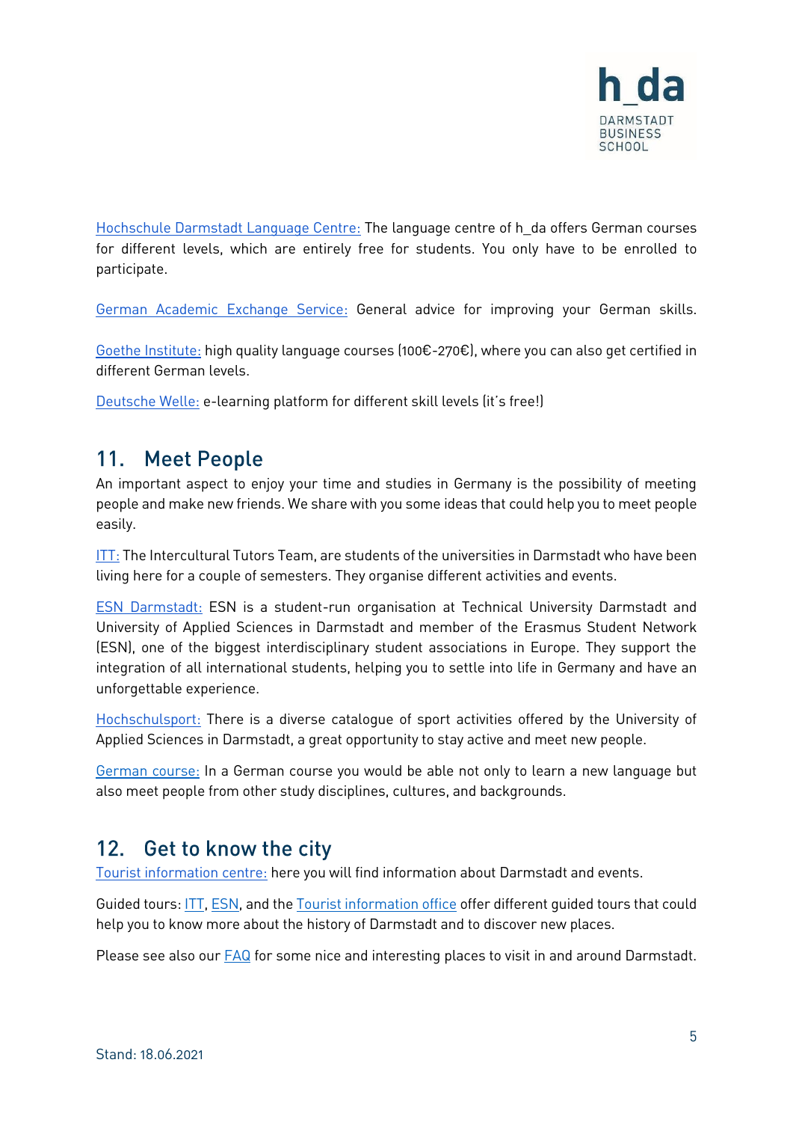

[Hochschule Darmstadt Language Centre:](https://sprachen.h-da.de/) The language centre of h\_da offers German courses for different levels, which are entirely free for students. You only have to be enrolled to participate.

[German Academic Exchange Service:](https://www2.daad.de/deutschland/studienangebote/sommerkurse/en/) General advice for improving your German skills.

[Goethe Institute:](https://www.goethe.de/en/spr.html) high quality language courses (100€-270€), where you can also get certified in different German levels.

[Deutsche Welle:](https://www.dw.com/en/learn-german/s-2469) e-learning platform for different skill levels (it's free!)

#### <span id="page-4-0"></span>**Meet People**  $11.$

An important aspect to enjoy your time and studies in Germany is the possibility of meeting people and make new friends. We share with you some ideas that could help you to meet people easily.

[ITT:](https://studierendenwerkdarmstadt.de/en/interkulturelles/meeting-people-with-itt/itt/) The Intercultural Tutors Team, are students of the universities in Darmstadt who have been living here for a couple of semesters. They organise different activities and events.

[ESN Darmstadt:](https://darmstadt.esn-germany.de/welcome) ESN is a student-run organisation at Technical University Darmstadt and University of Applied Sciences in Darmstadt and member of the Erasmus Student Network (ESN), one of the biggest interdisciplinary student associations in Europe. They support the integration of all international students, helping you to settle into life in Germany and have an unforgettable experience.

[Hochschulsport:](https://hochschulsport.h-da.de/) There is a diverse catalogue of sport activities offered by the University of Applied Sciences in Darmstadt, a great opportunity to stay active and meet new people.

[German course:](https://mba.h-da.de/index.php?id=615) In a German course you would be able not only to learn a new language but also meet people from other study disciplines, cultures, and backgrounds.

#### <span id="page-4-1"></span> $12.$ Get to know the city

[Tourist information centre:](https://www.darmstadt-tourismus.de/en.html) here you will find information about Darmstadt and events.

Guided tours: [ITT,](https://studierendenwerkdarmstadt.de/en/interkulturelles/meeting-people-with-itt/itt/) [ESN,](https://darmstadt.esn-germany.de/welcome) and th[e Tourist information office](https://www.darmstadt-tourismus.de/en.html) offer different guided tours that could help you to know more about the history of Darmstadt and to discover new places.

Please see also our [FAQ](https://mba.h-da.de/index.php?id=615) for some nice and interesting places to visit in and around Darmstadt.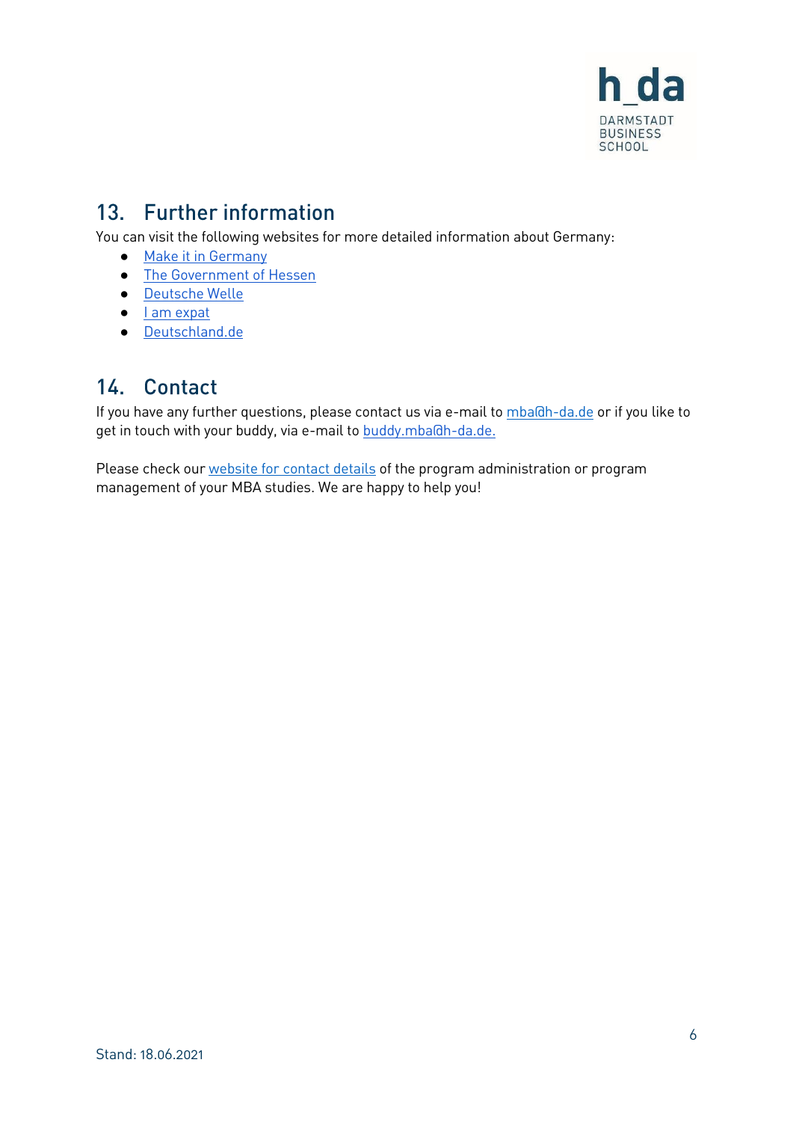

### <span id="page-5-0"></span>13. Further information

You can visit the following websites for more detailed information about Germany:

- [Make it in Germany](https://www.make-it-in-germany.com/en/)
- [The Government of Hessen](https://english.hessen.de/)
- [Deutsche Welle](https://www.dw.com/en/top-stories/germany/s-1432)
- [I am expat](https://www.iamexpat.de/)
- <span id="page-5-1"></span>● [Deutschland.de](https://www.deutschland.de/en)

### 14. Contact

If you have any further questions, please contact us via e-mail to [mba@h-da.de](mailto:mba@h-da.de) or if you like to get in touch with your buddy, via e-mail to [buddy.mba@h-da.de.](mailto:buddy.mba@h-da.de)

Please check our [website for contact details](https://mba.h-da.de/current-students/contact-persons) of the program administration or program management of your MBA studies. We are happy to help you!